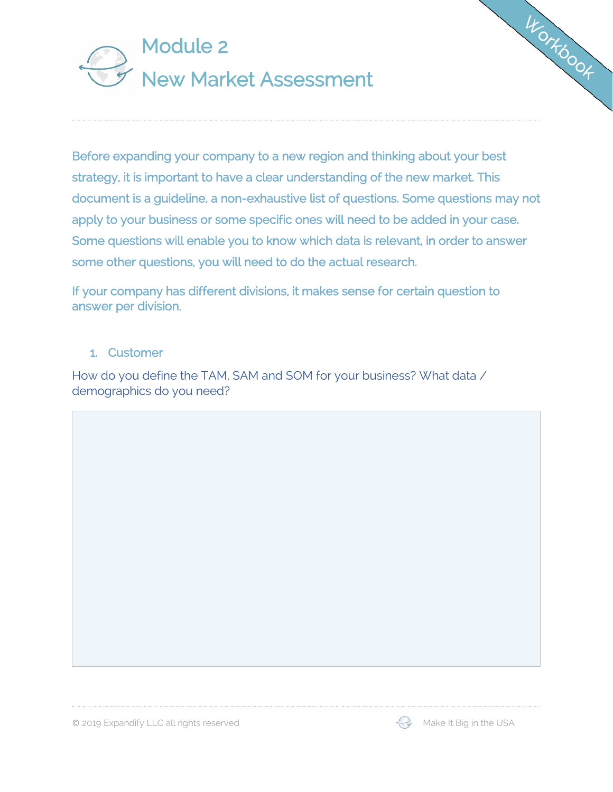

Before expanding your company to a new region and thinking about your best strategy, it is important to have a clear understanding of the new market. This document is a guideline, a non-exhaustive list of questions. Some questions may not apply to your business or some specific ones will need to be added in your case. Some questions will enable you to know which data is relevant, in order to answer some other questions, you will need to do the actual research.

If your company has different divisions, it makes sense for certain question to answer per division.

#### 1. Customer

How do you define the TAM, SAM and SOM for your business? What data / demographics do you need?

© 2019 Expandify LLC all rights reserved Make It Big in the USA



WORKbook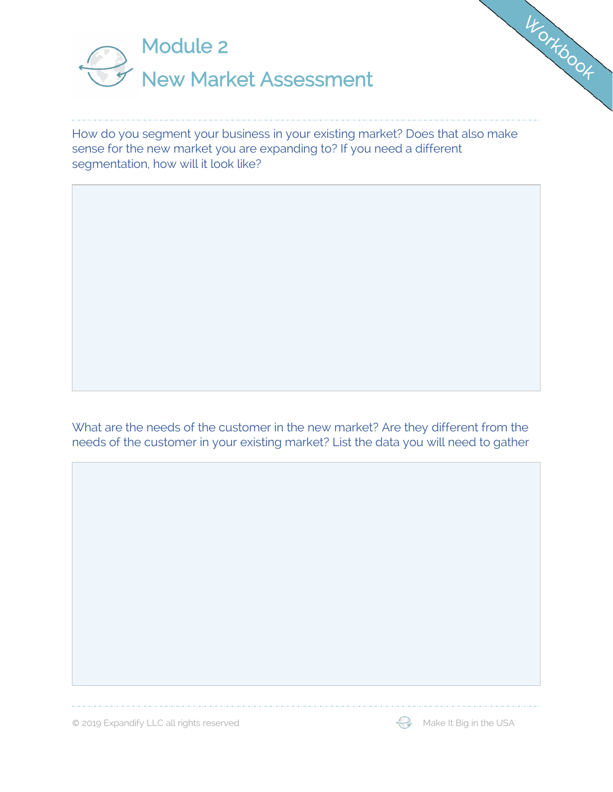

How do you segment your business in your existing market? Does that also make sense for the new market you are expanding to? If you need a different segmentation, how will it look like?

What are the needs of the customer in the new market? Are they different from the needs of the customer in your existing market? List the data you will need to gather

© 2019 Expandify LLC all rights reserved  $\mathbb{Q}$  Make It Big in the USA

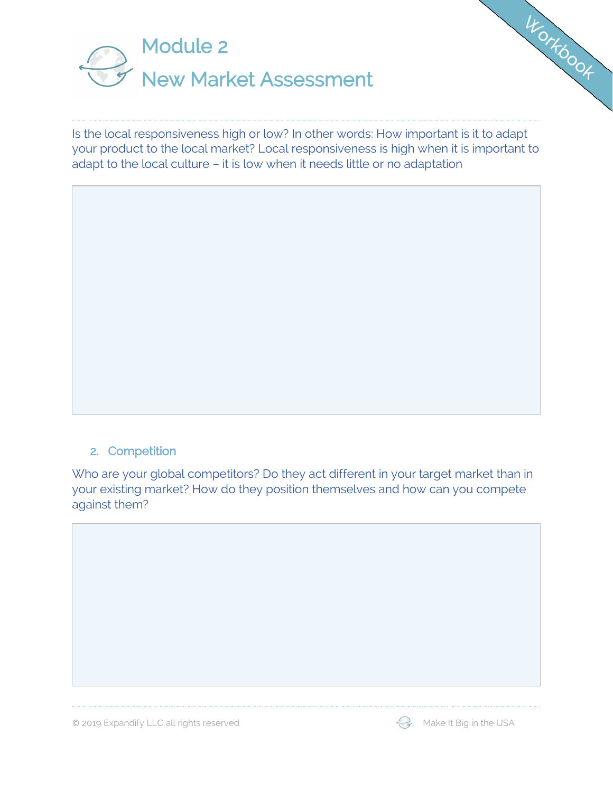

Is the local responsiveness high or low? In other words: How important is it to adapt your product to the local market? Local responsiveness is high when it is important to adapt to the local culture – it is low when it needs little or no adaptation

#### 2. Competition

Who are your global competitors? Do they act different in your target market than in your existing market? How do they position themselves and how can you compete against them?



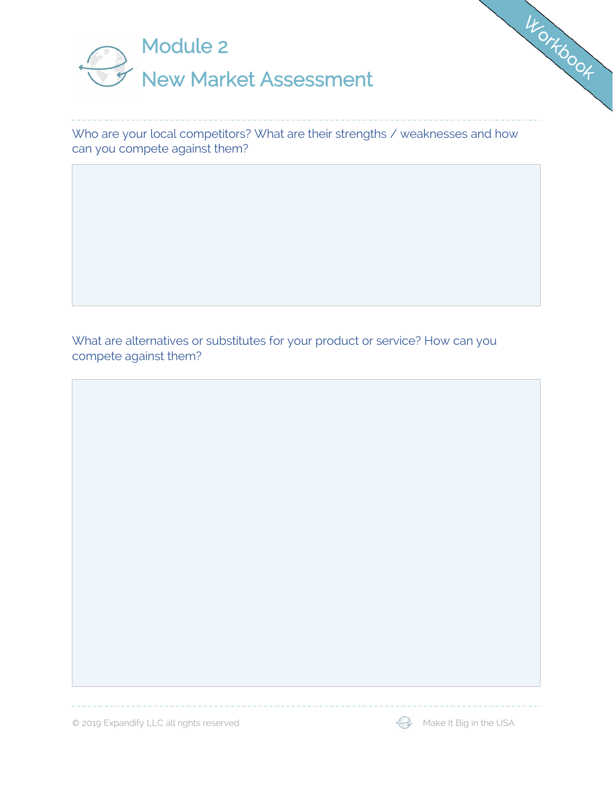

Who are your local competitors? What are their strengths / weaknesses and how can you compete against them?

What are alternatives or substitutes for your product or service? How can you compete against them?

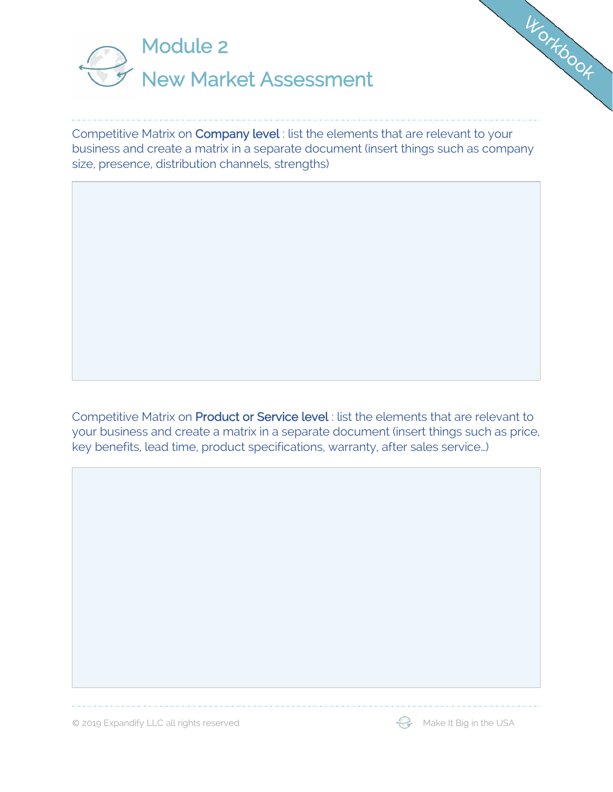

Competitive Matrix on Company level : list the elements that are relevant to your business and create a matrix in a separate document (insert things such as company size, presence, distribution channels, strengths)

Competitive Matrix on Product or Service level : list the elements that are relevant to your business and create a matrix in a separate document (insert things such as price, key benefits, lead time, product specifications, warranty, after sales service…)



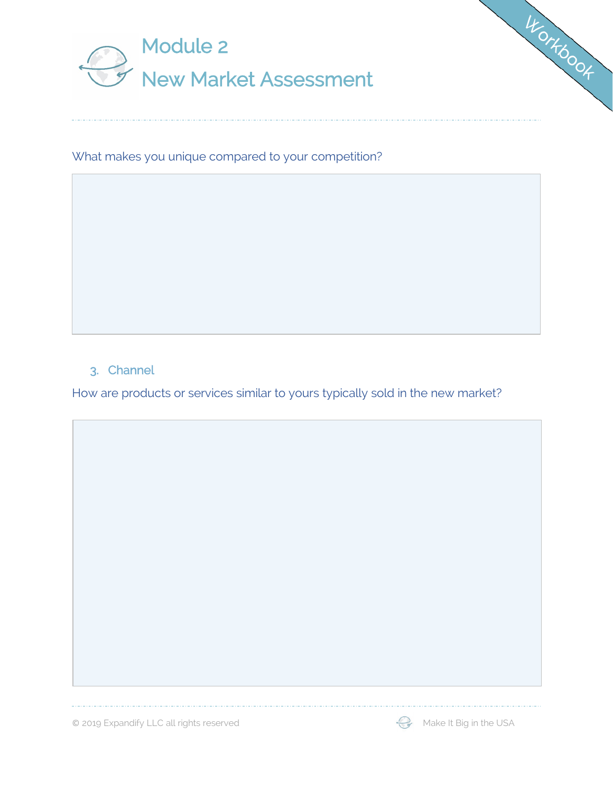



## 3. Channel

How are products or services similar to yours typically sold in the new market?

© 2019 Expandify LLC all rights reserved Make It Big in the USA



WONTOOOK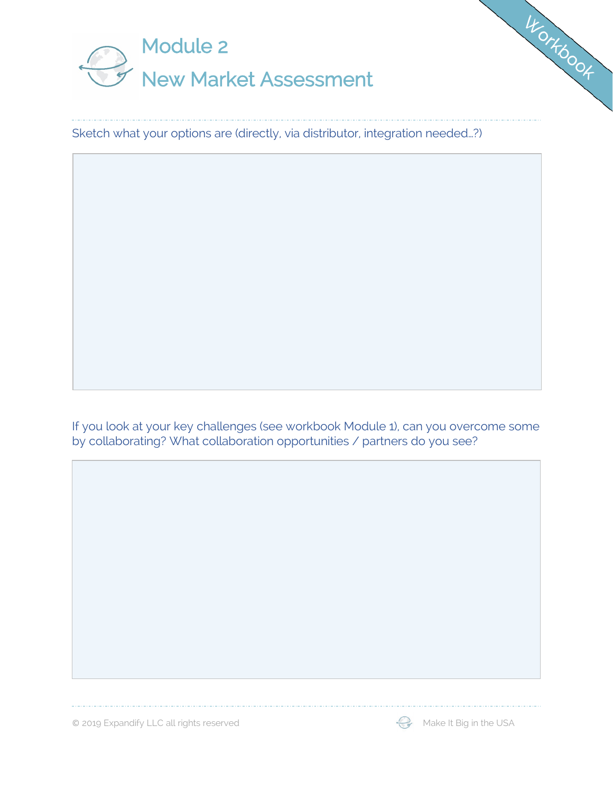

Sketch what your options are (directly, via distributor, integration needed…?)

If you look at your key challenges (see workbook Module 1), can you overcome some by collaborating? What collaboration opportunities / partners do you see?

© 2019 Expandify LLC all rights reserved Make It Big in the USA



WONTOOOK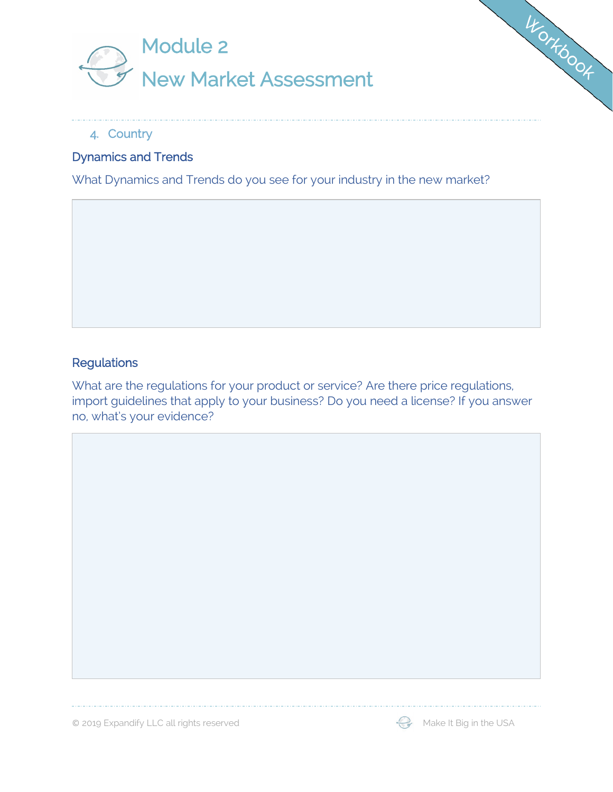



### 4. Country

# Dynamics and Trends

What Dynamics and Trends do you see for your industry in the new market?

#### **Regulations**

What are the regulations for your product or service? Are there price regulations, import guidelines that apply to your business? Do you need a license? If you answer no, what's your evidence?

© 2019 Expandify LLC all rights reserved  $\mathbb{Q}$  Make It Big in the USA

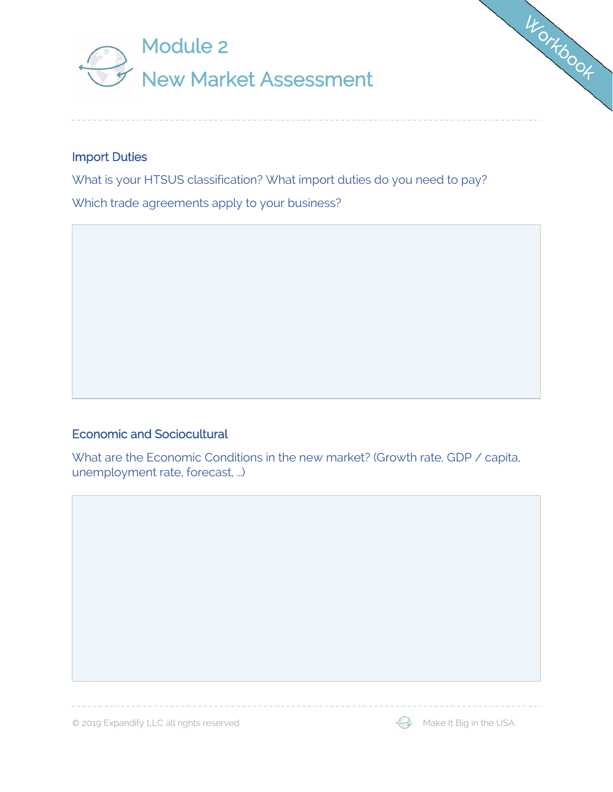



What is your HTSUS classification? What import duties do you need to pay? Which trade agreements apply to your business?

### Economic and Sociocultural

What are the Economic Conditions in the new market? (Growth rate, GDP / capita, unemployment rate, forecast, …)

© 2019 Expandify LLC all rights reserved  $\mathbb{Q}$  Make It Big in the USA